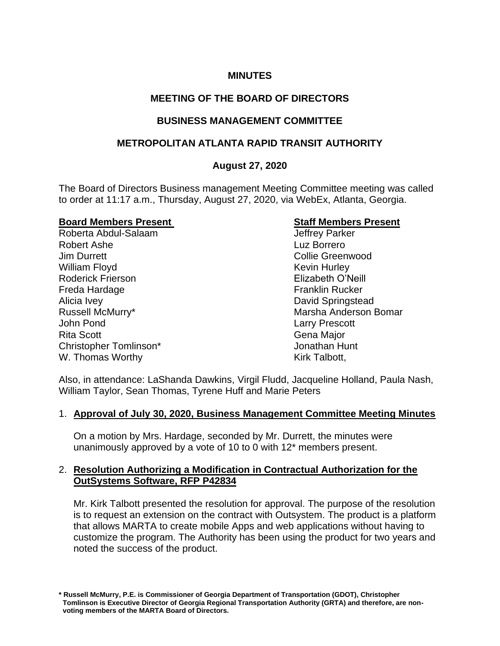## **MINUTES**

# **MEETING OF THE BOARD OF DIRECTORS**

## **BUSINESS MANAGEMENT COMMITTEE**

## **METROPOLITAN ATLANTA RAPID TRANSIT AUTHORITY**

## **August 27, 2020**

The Board of Directors Business management Meeting Committee meeting was called to order at 11:17 a.m., Thursday, August 27, 2020, via WebEx, Atlanta, Georgia.

### **Board Members Present Communist Communist Communist Communist Communist Communist Communist Communist Communist Communist Communist Communist Communist Communist Communist Communist Communist Communist Communist Communist**

Roberta Abdul-Salaam Jeffrey Parker Robert Ashe Luz Borrero Jim Durrett Collie Greenwood William Floyd **Kevin Hurley** Kevin Hurley Roderick Frierson Elizabeth O'Neill Freda Hardage Franklin Rucker Alicia Ivey David Springstead John Pond Larry Prescott Rita Scott **Gena Major** Gena Major Christopher Tomlinson\* Jonathan Hunt W. Thomas Worthy Note 2008 and North W. Talbott,

Russell McMurry\* The Communist Communist Communist Communist Communist Communist Communist Communist Communist Communist Communist Communist Communist Communist Communist Communist Communist Communist Communist Communist C

Also, in attendance: LaShanda Dawkins, Virgil Fludd, Jacqueline Holland, Paula Nash, William Taylor, Sean Thomas, Tyrene Huff and Marie Peters

## 1. **Approval of July 30, 2020, Business Management Committee Meeting Minutes**

On a motion by Mrs. Hardage, seconded by Mr. Durrett, the minutes were unanimously approved by a vote of 10 to 0 with 12\* members present.

## 2. **Resolution Authorizing a Modification in Contractual Authorization for the OutSystems Software, RFP P42834**

Mr. Kirk Talbott presented the resolution for approval. The purpose of the resolution is to request an extension on the contract with Outsystem. The product is a platform that allows MARTA to create mobile Apps and web applications without having to customize the program. The Authority has been using the product for two years and noted the success of the product.

**<sup>\*</sup> Russell McMurry, P.E. is Commissioner of Georgia Department of Transportation (GDOT), Christopher Tomlinson is Executive Director of Georgia Regional Transportation Authority (GRTA) and therefore, are non voting members of the MARTA Board of Directors.**